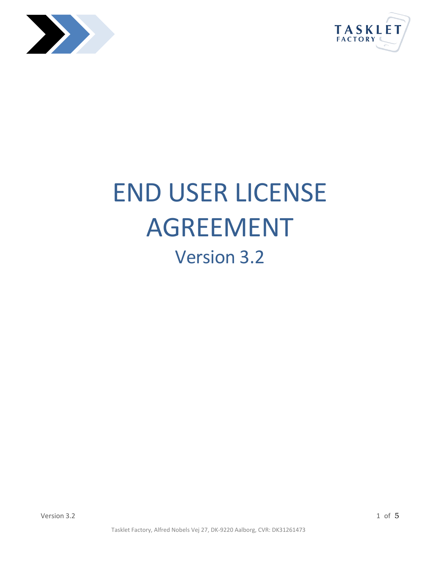



# END USER LICENSE AGREEMENT Version 3.2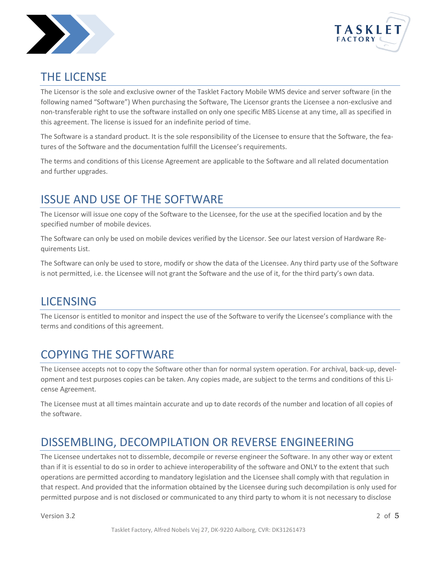



### THE LICENSE

The Licensor is the sole and exclusive owner of the Tasklet Factory Mobile WMS device and server software (in the following named "Software") When purchasing the Software, The Licensor grants the Licensee a non-exclusive and non-transferable right to use the software installed on only one specific MBS License at any time, all as specified in this agreement. The license is issued for an indefinite period of time.

The Software is a standard product. It is the sole responsibility of the Licensee to ensure that the Software, the features of the Software and the documentation fulfill the Licensee's requirements.

The terms and conditions of this License Agreement are applicable to the Software and all related documentation and further upgrades.

# ISSUE AND USE OF THE SOFTWARE

The Licensor will issue one copy of the Software to the Licensee, for the use at the specified location and by the specified number of mobile devices.

The Software can only be used on mobile devices verified by the Licensor. See our latest version of Hardware Requirements List.

The Software can only be used to store, modify or show the data of the Licensee. Any third party use of the Software is not permitted, i.e. the Licensee will not grant the Software and the use of it, for the third party's own data.

### LICENSING

The Licensor is entitled to monitor and inspect the use of the Software to verify the Licensee's compliance with the terms and conditions of this agreement.

# COPYING THE SOFTWARE

The Licensee accepts not to copy the Software other than for normal system operation. For archival, back-up, development and test purposes copies can be taken. Any copies made, are subject to the terms and conditions of this License Agreement.

The Licensee must at all times maintain accurate and up to date records of the number and location of all copies of the software.

# DISSEMBLING, DECOMPILATION OR REVERSE ENGINEERING

The Licensee undertakes not to dissemble, decompile or reverse engineer the Software. In any other way or extent than if it is essential to do so in order to achieve interoperability of the software and ONLY to the extent that such operations are permitted according to mandatory legislation and the Licensee shall comply with that regulation in that respect. And provided that the information obtained by the Licensee during such decompilation is only used for permitted purpose and is not disclosed or communicated to any third party to whom it is not necessary to disclose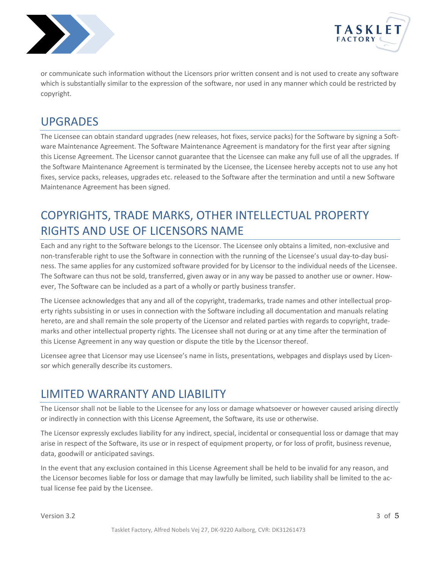



or communicate such information without the Licensors prior written consent and is not used to create any software which is substantially similar to the expression of the software, nor used in any manner which could be restricted by copyright.

### UPGRADES

The Licensee can obtain standard upgrades (new releases, hot fixes, service packs) for the Software by signing a Software Maintenance Agreement. The Software Maintenance Agreement is mandatory for the first year after signing this License Agreement. The Licensor cannot guarantee that the Licensee can make any full use of all the upgrades. If the Software Maintenance Agreement is terminated by the Licensee, the Licensee hereby accepts not to use any hot fixes, service packs, releases, upgrades etc. released to the Software after the termination and until a new Software Maintenance Agreement has been signed.

# COPYRIGHTS, TRADE MARKS, OTHER INTELLECTUAL PROPERTY RIGHTS AND USE OF LICENSORS NAME

Each and any right to the Software belongs to the Licensor. The Licensee only obtains a limited, non-exclusive and non-transferable right to use the Software in connection with the running of the Licensee's usual day-to-day business. The same applies for any customized software provided for by Licensor to the individual needs of the Licensee. The Software can thus not be sold, transferred, given away or in any way be passed to another use or owner. However, The Software can be included as a part of a wholly or partly business transfer.

The Licensee acknowledges that any and all of the copyright, trademarks, trade names and other intellectual property rights subsisting in or uses in connection with the Software including all documentation and manuals relating hereto, are and shall remain the sole property of the Licensor and related parties with regards to copyright, trademarks and other intellectual property rights. The Licensee shall not during or at any time after the termination of this License Agreement in any way question or dispute the title by the Licensor thereof.

Licensee agree that Licensor may use Licensee's name in lists, presentations, webpages and displays used by Licensor which generally describe its customers.

# LIMITED WARRANTY AND LIABILITY

The Licensor shall not be liable to the Licensee for any loss or damage whatsoever or however caused arising directly or indirectly in connection with this License Agreement, the Software, its use or otherwise.

The Licensor expressly excludes liability for any indirect, special, incidental or consequential loss or damage that may arise in respect of the Software, its use or in respect of equipment property, or for loss of profit, business revenue, data, goodwill or anticipated savings.

In the event that any exclusion contained in this License Agreement shall be held to be invalid for any reason, and the Licensor becomes liable for loss or damage that may lawfully be limited, such liability shall be limited to the actual license fee paid by the Licensee.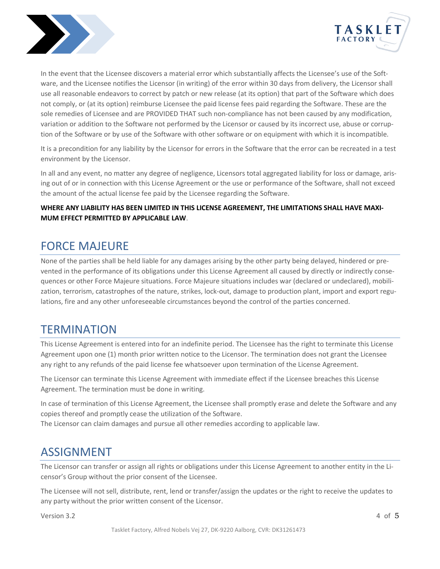



In the event that the Licensee discovers a material error which substantially affects the Licensee's use of the Software, and the Licensee notifies the Licensor (in writing) of the error within 30 days from delivery, the Licensor shall use all reasonable endeavors to correct by patch or new release (at its option) that part of the Software which does not comply, or (at its option) reimburse Licensee the paid license fees paid regarding the Software. These are the sole remedies of Licensee and are PROVIDED THAT such non-compliance has not been caused by any modification, variation or addition to the Software not performed by the Licensor or caused by its incorrect use, abuse or corruption of the Software or by use of the Software with other software or on equipment with which it is incompatible.

It is a precondition for any liability by the Licensor for errors in the Software that the error can be recreated in a test environment by the Licensor.

In all and any event, no matter any degree of negligence, Licensors total aggregated liability for loss or damage, arising out of or in connection with this License Agreement or the use or performance of the Software, shall not exceed the amount of the actual license fee paid by the Licensee regarding the Software.

#### **WHERE ANY LIABILITY HAS BEEN LIMITED IN THIS LICENSE AGREEMENT, THE LIMITATIONS SHALL HAVE MAXI-MUM EFFECT PERMITTED BY APPLICABLE LAW**.

### FORCE MAJEURE

None of the parties shall be held liable for any damages arising by the other party being delayed, hindered or prevented in the performance of its obligations under this License Agreement all caused by directly or indirectly consequences or other Force Majeure situations. Force Majeure situations includes war (declared or undeclared), mobilization, terrorism, catastrophes of the nature, strikes, lock-out, damage to production plant, import and export regulations, fire and any other unforeseeable circumstances beyond the control of the parties concerned.

### **TERMINATION**

This License Agreement is entered into for an indefinite period. The Licensee has the right to terminate this License Agreement upon one (1) month prior written notice to the Licensor. The termination does not grant the Licensee any right to any refunds of the paid license fee whatsoever upon termination of the License Agreement.

The Licensor can terminate this License Agreement with immediate effect if the Licensee breaches this License Agreement. The termination must be done in writing.

In case of termination of this License Agreement, the Licensee shall promptly erase and delete the Software and any copies thereof and promptly cease the utilization of the Software.

The Licensor can claim damages and pursue all other remedies according to applicable law.

### ASSIGNMENT

The Licensor can transfer or assign all rights or obligations under this License Agreement to another entity in the Licensor's Group without the prior consent of the Licensee.

The Licensee will not sell, distribute, rent, lend or transfer/assign the updates or the right to receive the updates to any party without the prior written consent of the Licensor.